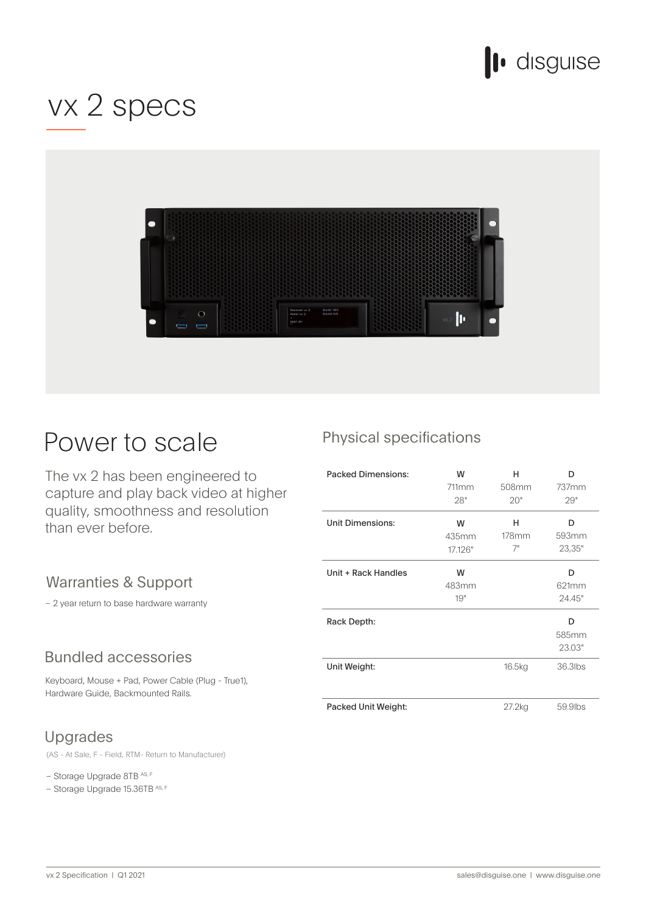

## vx 2 specs



## Power to scale

The vx 2 has been engineered to capture and play back video at higher quality, smoothness and resolution than ever before.

### Warranties & Support

- 2 year return to base hardware warranty

### **Bundled accessories**

Keyboard, Mouse + Pad, Power Cable (Plug - True1), Hardware Guide, Backmounted Rails.

## Upgrades

(AS - At Sale, F - Field, RTM - Return to Manufacturer)

- Storage Upgrade 8TB AS, F

- Storage Upgrade 15.36TB AS, F

## Physical specifications

| <b>Packed Dimensions:</b> | W<br>711mm<br>28"     | н<br>508mm<br>20"   | D<br>737mm<br>29"    |
|---------------------------|-----------------------|---------------------|----------------------|
| <b>Unit Dimensions:</b>   | W<br>435mm<br>17.126" | н<br>$178$ mm<br>7" | D<br>593mm<br>23,35" |
| Unit + Rack Handles       | W<br>483mm<br>19"     |                     | D<br>621mm<br>24.45" |
| Rack Depth:               |                       |                     | D<br>585mm<br>23.03" |
| Unit Weight:              |                       | 16.5kg              | 36.3lbs              |
| Packed Unit Weight:       |                       | 27.2kg              | 59.9lbs              |